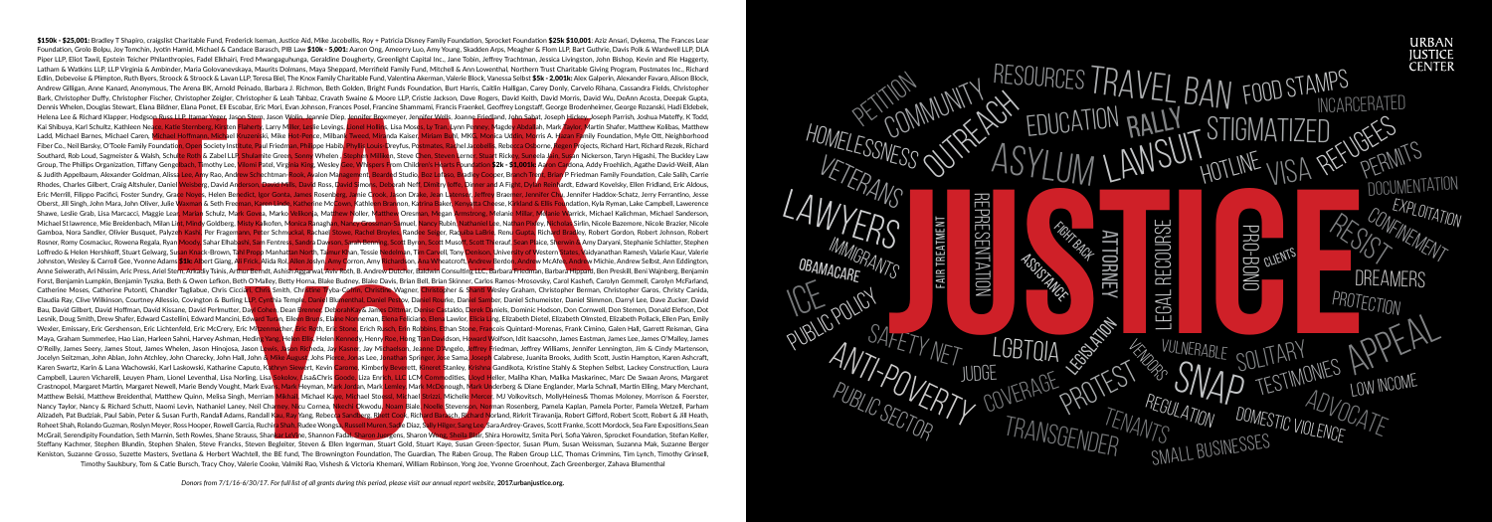Philatthropies Fadel Elthini, Fred Mwangapulunga, Geraldine Douglerty, Greenlight Capital Inc., Ann Ency Trachtman, Desisted Internations, The Track Divingsion, John Bish, The Track Minister (States and the Minister States \$150k - \$25,001: Bradley T Shapiro, craigslist Charitable Fund, Frederick Iseman, Justice Aid, Mike Jacobellis, Roy + Patricia Disney Family Foundation, Sprocket Foundation \$25k \$10,001: Aziz Ansari, Dykema, The Frances Le Foundation, Grolo Bolpu, Joy Tomchin, Jyotin Hamid, Michael & Candace Barasch, PIB Law \$10k - 5,001: Aaron Ong, Ameorry Luo, Amy Young, Skadden Arps, Meagher & Flom LLP, Bart Guthrie, Davis Polk & Wardwell LLP, DLA Piper LLP, Eliot Tawil, Epstein Teicher Philanthropies, Fadel Elkhairi, Fred Mwangaguhunga, Geraldine Dougherty, Greenlight Capital Inc., Jane Tobin, Jeffrey Trachtman, Jessica Livingston, John Bishop, Kevin and Rie Hagger Latham & Watkins LLP, LLP Virginia & Ambinder, Maria Golovanevskaya, Maurits Dolmans, Maya Sheppard, Merrifield Family Fund, Mitchell & Ann Lowenthal, Northern Trust Charitable Giving Program, Postmates Inc., Richard Edlin, Debevoise & Plimpton, Ruth Byers, Stroock & Stroock & Lavan LLP, Teresa Biel, The Knox Family Charitable Fund, Valentina Akerman, Valerie Block, Vanessa Selbst \$5k - 2,001k: Alex Galperin, Alexander Favaro, Alison B Andrew Gilligan, Anne Kanard, Anonymous, The Arena BK, Arnold Peinado, Barbara J. Richmon, Beth Golden, Bright Funds Foundation, Burt Harris, Caitlin Halligan, Carey Donly, Carvelo Rihana, Cassandra Fields, Christopher Bark, Christopher Duffy, Christopher Fischer, Christopher Zeigler, Christopher & Leah Tahbaz, Cravath Swaine & Moore LLP, Cristie Jackson, Dave Rogers, David Keith, David Morris, David Wu, DeAnn Acosta, Deepak Gupta, Dennis Whelen, Douglas Stewart, Elana Bildner, Elana Ponet, Eli Escobar, Eric Mori, Evan Johnson, Frances Posel, Francine Shammami, Francis Fraenkel, Geoffrey Longstaff, George Brodenheimer, George Rozanski, Hadi Eldebek, Helena Lee & Richard Klapper, Hodgson Russ LLP, Itamar Yeger, Jason Stern, Jason Wolin, Jeannie Diep, Jennifer Broxmeyer, Jennifer Wells, Joanne Friedland, John Sabat, Joseph Hickey, Joseph Parrish, Joshua Mateffy, K Todd,

Kai Shibuya, Karl Schultz, Kathleen Neace, Katie Sternberg, Kirsten Flaherty, Larry Miller, Leslie Levings, Lionel Hollins, Lisa Moses, Ly Tran, Lynn Penney, Magdey Abdallah, Mark Taylor, Martin Shafer, Matthew Kolibas, Ma Ladd, Michael Barnes, Michael Caren, Michael Hoffmann, Michael Kruzeniski, Mike Hot-Pence, Milbank Tweed, Miranda Kaiser, Miriam Buhl, MKG, Monica Uddin, Morris A. Hazan Family Foundation, Myle Ott, Neighborhood Fiber Co., Neil Barsky, O'Toole Family Foundation, Open Society Institute, Paul Friedman, Philippe Habib/Phyllis Louis-Dreyfus, Postmates, Raghel Jacobellis, Rebecca Osborne, Regen Projects, Richard Hart, Richard Rezek, Ri Southard, Rob Loud, Sagmeister & Walsh, Schulte Roth & Zabel LLP, Shulamite Green, Sonny Whelen, Stephen Milliken, Steve Chen, Steven Lerner, Stuart Rickey, Suneela Jain, Susan Nickerson, Taryn Higashi, The Buckley Law Group, The Phillips Organization, Tiffany Gengelbach, Timothy Lee, Vilomi Patel, Virginia King, Wesley Gee, Whispers From Children's Hearts Foundation \$2k - \$1,001k: Aaron Cardona, Addy Froehlich, Agathe David-Weill, Alan & Judith Appelbaum, Alexander Goldman, Alissa Lee, Any Rao, Andrew Schechtman-Rook, Avalon Management, Bearded Studio, Boz Lofaso, Bradley Cooper, Branch Trent, Brian P Friedman Family Foundation, Cale Salih, Carrie Rhodes. Charles Gilbert. Craig Altshuler. Daniel Weisberg. David Anderson, David Nills. David Ross. David Simons. Deborah Neff. Dimitry Joffe. Dinner and A Fight. Dylan Reinhardt. Edward Kovelsky. Ellen Fridland. Eric Aldo Eric Merrill, Filippo Pacifici, Foster Sundry, Grace Noyes, Helen Benedict, Igor Gonta, James Rosenberg, Jamie Crook, Jason Drake, Jean Latenser, Jeffrey Braemer, Jennifer Chu, Jennifer Haddox-Schatz, Jerry Ferrantino, Jes Oberst, Jill Singh, John Mara, John Oliver, Julie Waxman & Seth Freeman, Karen Linde, Katherine McCown, Kathleen Brannon, Katrina Baker, Kenyatta Cheese, Kirkland & Ellis Foundation, Kyla Ryman, Lake Campbell, Lawerence Shawe, Leslie Grab, Lisa Marcacci, Maggie Lear, Marian Schulz, Mark Govea, Marko Velikonja, Matthew Noller, Matthew Oresman, Megan Armstrong, Melanie Millar, Melanie Warrick, Michael Kalichman, Michael Sanderson,



Forst, Benjamin Lumpkin, Benjamin Tyszka, Beth & Owen Lefkon, Beth O'Malley, Betty Horna, Blake Budney, Blake Davis, Brian Bell, Brian Skinner, Carlos Ramos-Mrosovsky, Carol Kashefi, Carolyn Gemmell, Carolyn McFarland, Catherine Moses, Catherine Putonti, Chandler Tagliabue, Chris Cicciari, Chris Smith, Christine Tryba-Corrin, Christine Wagner, Christopher & Shanti Wesley Graham, Christopher Berman, Christopher Garos, Christy Canida, Claudia Ray, Clive Wilkinson, Courtney Allessio, Covington & Burling LLP, Cynthia Temple, Daniel Blumenthal, Daniel Pestov, Daniel Rourke, Daniel Samber, Daniel Schumeister, Daniel Slimmon, Darryl Lee, Dave Zucker, David Bau, David Gilbert, David Hoffman, David Kissane, David Perlmutter, Dayl Cohen, Dean Brenner, DeborahKay& James Dittmar, Denise Castaldo, Derek Daniels, Dominic Hodson, Don Cornwell, Don Stemen, Donald Elefson, Dot Lesnik, Doug Smith, Drew Shafer, Edward Castellini, Edward Mancini, Edward Turan, Eileen Bruns, Elaine Nonneman, Elena Feliciano, Elena Lawlor, Elicia Ling, Elizabeth Dietel, Elizabeth Olmsted, Elizabeth Pollack, Ellen Pan Wexler, Emissary, Eric Gershenson, Eric Lichtenfeld, Eric McCrery, Eric Mitzenmacher, Eric Roth, Eric Stone, Erich Rusch, Erin Robbins, Ethan Stone, Erancois Quintard-Morenas, Frank Cimino, Galen Hall, Garrett Reisman, Gin Maya, Graham Summerlee, Hao Lian, Harleen Sahni, Harvey Ashman, Heding Yang, Helen Ellis, Helen Kennedy, Henry Roe, Hong Tran Davidson, Howard Wolfson, Idit Isaacsohn, James Eastman, James Lee, James O'Malley, James James O'Reilly, James Seery, James Stout, James Whelen, Jason Hinojosa, Jason Lewis, Jason Richeda, Jay Kasner, Jay Michaelson, Jeanne D'Angelo, Jeffrey Friedman, Jeffrey Williams, Jennifer Lennington, Jim & Cindy Martenson, Jocelyn Seitzman, John Ablan, John Atchley, John Charecky, John Hall, John & Mike August, Johs Pierce, Jonas Lee, Jonathan Springer, Jose Sama, Joseph Calabrese, Juanita Brooks, Judith Scott, Justin Hampton, Karen Ashcraft, Karen Swartz, Karin & Lana Wachowski, Karl Laskowski, Katharine Caputo, Kathryn Siewert, Kevin Carome, Kimberly Beverett, Kineret Stanley, Krishna Gandikota, Kristine Stahly & Stephen Selbst, Lackey Construction, Laura Campbell, Lauren Vicharelli, Leuven Pham, Lionel Leventhal, Lisa Norling, Lisa Sokolov, Lisa&Chris Goode, Liza Enrich, LLC LCM Commodities, Lloyd Heller, Maliha Khan, Malika Maskarinec, Marc De Swaan Arons, Margaret Crastnopol, Margaret Martin, Margaret Newell, Marie Bendy Vought, Mark Evans, Mark Heyman, Mark <mark>Jordan, Mark McDonough, Mark Un</mark>derberg & Diane Englander, Marla Schnall, Martin Elling, Mary Merchant, Matthew Belski, Matthew Breidenthal, Matthew Quinn, Melisa Singh, Merriam Mikhail, Michael Kaye, Michael Stoessl, Michael Strizzi, Michelle Mercer, MJ Volkovitsch, MollyHeines& Thomas Moloney, Morrison & Foerster, Nancy Taylor, Nancy & Richard Schutt, Naomi Levin, Nathaniel Laney, Neil Charney, Nicu Cornea, Nkechi Okwodu, Noam Biale, Noelle Stevenson, Norman Rosenberg, Pamela Kaplan, Pamela Porter, Pamela Wetzell, Parham Alizadeh, Pat Budziak, Paul Sabin, Peter & Susan Furth, Randall Adams, Randall Kau, Ray Yang, Rebecca Sandberg, Rhett Cook, Richard Barasch, Richard Norland, Rirkrit Tiravanija, Robert Gifford, Robert Scott, Robert & Jill Roheet Shah, Rolando Guzman, Roslyn Meyer, Ross Hooper, Rowell Garcia, Ruchira Shah, Rudee Wongsa, Russell Muren, Sadie Diaz, Sally Hilger, Sang Lee, Sara Ardrey-Graves, Scott Franke, Scott Mordock, Sea Fare Expositions,Se McGrail. Serendipity Foundation. Seth Marnin. Seth Rowles, Shane Strauss, Shankar LeVine, Shannon Fadal, Sharon Juergens, Sharon Wong, Sheila Blair, Shira Horowitz, Smita Peri, Sofia Yakren, Sprocket Foundation, Stefan Kel

Sy Mander In-Volume Manegua, New Youssine: Sy Michael Stores, Nami, Nami, Nami, Nami, Nami Ferre Schmuckal, Rachael Stove, Rachel Broyles, Randee Seiner, Raquiba LaBrid, hi, Sam Fentress, Sandra Dawson, Sarah-Benning, Scot Michael St lawrence, Mie Breidenbach, Milan Lint, Mindy Goldberg, Misty Kalkofen, Monica Ranaghan, Nancy Grossman-Samuel, Nancy Rubin, Nathaniel Lee, Nathan Pixley, Nicholas Sirlin, Nicole Bazemore, Nicole Brazier, Nicole Gamboa, Nora Sandler, Olivier Busquet, Palyzeh Kashi, Per Fragemann, Peter Schmuckal, Rachael Stowe, Rachel Broyles, Randee Seiger, Raquiba LaBrie, Renu Gupta, Richard Bradley, Robert Gordon, Robert Johnson, Robert Johnson Rosner, Romy Cosmaciuc, Rowena Regala, Ryan Moody, Sahar Elhabashi, Sam Fentress, Sandra Dawson, Sarah Benning, Scott Byron, Scott Musoff, Scott Thierauf, Sean Plaice, Sherwin & Amy Daryani, Stephanie Schlatter, Stephen Loffredo & Helen Hershkoff, Stuart Gelwarg, Susan Knack-Brown, Tahl Propp Manhattan North, Taimur Khan, Tessie Nedelman, Tim Carvell, Tony Denison, University of Western States, Vaidyanathan Ramesh, Valarie Kaur, Valerie Johnston, Wesley & Carroll Gee, Yvonne Adams **\$1k:** Albert Giang, Ali Frick, Alida Rol, Allen Joslyn, Amy Corron, Amy Richardson, Ana Wheatcroft, Andrew Berdon, Andrew McAfee, Andrew Michie, Andrew Selbst, Ann Eddington,

Anne Seiwerath, Ari Nissim, Aric Press, Ariel Stern, Arkadiy Tsinis, Arthur Berndt, Ashish Aggarwal, Aviv Roth, B. Andrew Dutcher, Baldwin Consulting LLC, Barbara Friedman, Barbara Hippard, Ben Preskill, Beni Wajnberg, Ben

Steffany Kachmer, Stephen Blundin, Stephen Shalen, Steve Francks, Steven Begleiter, Steven & Ellen Ingerman, Stuart Gold, Stuart Kaye, Susan Green-Spector, Susan Plum, Susan Weissman, Suzanna Mak, Suzanne Berger Keniston, Suzanne Grosso, Suzette Masters, Svetlana & Herbert Wachtell, the BE fund, The Brownington Foundation, The Guardian, The Raben Group, The Raben Group LLC, Thomas Crimmins, Tim Lynch, Timothy Grinsell, Timothy Saulsbury, Tom & Catie Bursch, Tracy Choy, Valerie Cooke, Valmiki Rao, Vishesh & Victoria Khemani, William Robinson, Yong Joe, Yvonne Groenhout, Zach Greenberger, Zahava Blumenthal

*Donors from 7/1/16-6/30/17. For full list of all grants during this period, please visit our annual report website,* **2017.urbanjustice.org.**